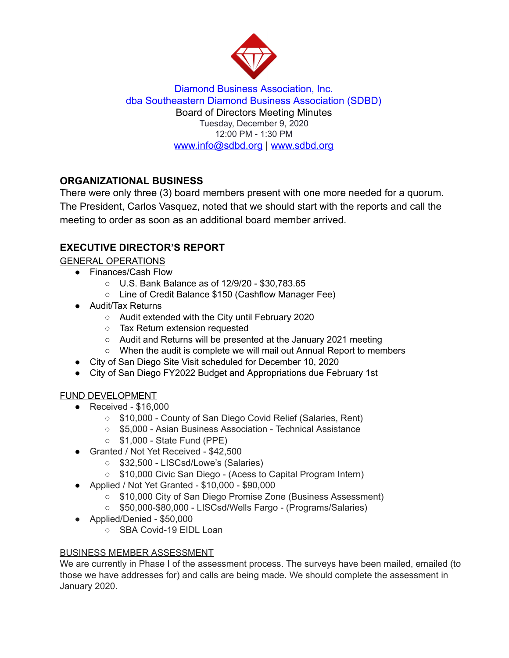

Diamond Business Association, Inc. dba Southeastern Diamond Business Association (SDBD) Board of Directors Meeting Minutes Tuesday, December 9, 2020 12:00 PM - 1:30 PM www.info@sdbd.org | [www.sdbd.org](http://www.sdbd.org/)

# **ORGANIZATIONAL BUSINESS**

There were only three (3) board members present with one more needed for a quorum. The President, Carlos Vasquez, noted that we should start with the reports and call the meeting to order as soon as an additional board member arrived.

# **EXECUTIVE DIRECTOR'S REPORT**

GENERAL OPERATIONS

- Finances/Cash Flow
	- U.S. Bank Balance as of 12/9/20 \$30,783.65
	- Line of Credit Balance \$150 (Cashflow Manager Fee)
- Audit/Tax Returns
	- Audit extended with the City until February 2020
	- Tax Return extension requested
	- Audit and Returns will be presented at the January 2021 meeting
	- When the audit is complete we will mail out Annual Report to members
- City of San Diego Site Visit scheduled for December 10, 2020
- City of San Diego FY2022 Budget and Appropriations due February 1st

## FUND DEVELOPMENT

- $\bullet$  Received \$16,000
	- \$10,000 County of San Diego Covid Relief (Salaries, Rent)
	- \$5,000 Asian Business Association Technical Assistance
	- \$1,000 State Fund (PPE)
- Granted / Not Yet Received \$42,500
	- \$32,500 LISCsd/Lowe's (Salaries)
	- \$10,000 Civic San Diego (Acess to Capital Program Intern)
- Applied / Not Yet Granted \$10,000 \$90,000
	- \$10,000 City of San Diego Promise Zone (Business Assessment)
	- \$50,000-\$80,000 LISCsd/Wells Fargo (Programs/Salaries)
- Applied/Denied \$50,000
	- SBA Covid-19 EIDL Loan

# BUSINESS MEMBER ASSESSMENT

We are currently in Phase I of the assessment process. The surveys have been mailed, emailed (to those we have addresses for) and calls are being made. We should complete the assessment in January 2020.